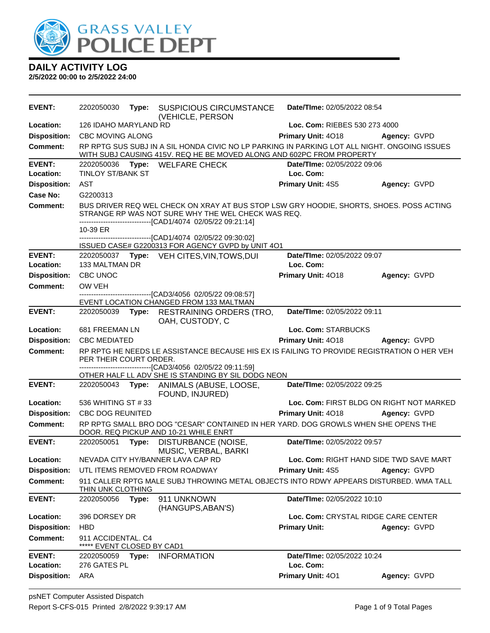

| <b>EVENT:</b>              | 2202050030                                 | Type: | <b>SUSPICIOUS CIRCUMSTANCE</b><br>(VEHICLE, PERSON                                                                                                                                                            | Date/TIme: 02/05/2022 08:54              |              |
|----------------------------|--------------------------------------------|-------|---------------------------------------------------------------------------------------------------------------------------------------------------------------------------------------------------------------|------------------------------------------|--------------|
| Location:                  | 126 IDAHO MARYLAND RD                      |       |                                                                                                                                                                                                               | Loc. Com: RIEBES 530 273 4000            |              |
| <b>Disposition:</b>        | <b>CBC MOVING ALONG</b>                    |       |                                                                                                                                                                                                               | <b>Primary Unit: 4018</b>                | Agency: GVPD |
| Comment:                   |                                            |       | RP RPTG SUS SUBJ IN A SIL HONDA CIVIC NO LP PARKING IN PARKING LOT ALL NIGHT. ONGOING ISSUES<br>WITH SUBJ CAUSING 415V. REQ HE BE MOVED ALONG AND 602PC FROM PROPERTY                                         |                                          |              |
| <b>EVENT:</b><br>Location: | <b>TINLOY ST/BANK ST</b>                   |       | 2202050036 Type: WELFARE CHECK                                                                                                                                                                                | Date/TIme: 02/05/2022 09:06<br>Loc. Com: |              |
| <b>Disposition:</b>        | <b>AST</b>                                 |       |                                                                                                                                                                                                               | <b>Primary Unit: 4S5</b>                 | Agency: GVPD |
| Case No:                   | G2200313                                   |       |                                                                                                                                                                                                               |                                          |              |
| <b>Comment:</b>            |                                            |       | BUS DRIVER REQ WEL CHECK ON XRAY AT BUS STOP LSW GRY HOODIE, SHORTS, SHOES. POSS ACTING<br>STRANGE RP WAS NOT SURE WHY THE WEL CHECK WAS REQ.<br>-------------------------------[CAD1/4074 02/05/22 09:21:14] |                                          |              |
|                            | 10-39 ER                                   |       |                                                                                                                                                                                                               |                                          |              |
|                            |                                            |       | ------------------[CAD1/4074 02/05/22 09:30:02]                                                                                                                                                               |                                          |              |
| <b>EVENT:</b>              |                                            |       | ISSUED CASE# G2200313 FOR AGENCY GVPD by UNIT 4O1<br>2202050037 Type: VEH CITES, VIN, TOWS, DUI                                                                                                               | Date/TIme: 02/05/2022 09:07              |              |
| Location:                  | 133 MALTMAN DR                             |       |                                                                                                                                                                                                               | Loc. Com:                                |              |
| <b>Disposition:</b>        | CBC UNOC                                   |       |                                                                                                                                                                                                               | Primary Unit: 4018                       | Agency: GVPD |
| <b>Comment:</b>            | OW VEH                                     |       |                                                                                                                                                                                                               |                                          |              |
|                            |                                            |       | --------------------------------[CAD3/4056 02/05/22 09:08:57]                                                                                                                                                 |                                          |              |
| <b>EVENT:</b>              | 2202050039                                 |       | EVENT LOCATION CHANGED FROM 133 MALTMAN<br>Type: RESTRAINING ORDERS (TRO,                                                                                                                                     | Date/TIme: 02/05/2022 09:11              |              |
|                            |                                            |       | OAH, CUSTODY, C                                                                                                                                                                                               |                                          |              |
| Location:                  | 681 FREEMAN LN                             |       |                                                                                                                                                                                                               | Loc. Com: STARBUCKS                      |              |
| <b>Disposition:</b>        | <b>CBC MEDIATED</b>                        |       |                                                                                                                                                                                                               | <b>Primary Unit: 4018</b>                | Agency: GVPD |
| <b>Comment:</b>            | PER THEIR COURT ORDER.                     |       | RP RPTG HE NEEDS LE ASSISTANCE BECAUSE HIS EX IS FAILING TO PROVIDE REGISTRATION O HER VEH<br>--------------------------[CAD3/4056_02/05/22_09:11:59]                                                         |                                          |              |
|                            |                                            |       | OTHER HALF LL ADV SHE IS STANDING BY SIL DODG NEON                                                                                                                                                            |                                          |              |
| <b>EVENT:</b>              |                                            |       | 2202050043 Type: ANIMALS (ABUSE, LOOSE,<br>FOUND, INJURED)                                                                                                                                                    | Date/TIme: 02/05/2022 09:25              |              |
| Location:                  | 536 WHITING ST #33                         |       |                                                                                                                                                                                                               | Loc. Com: FIRST BLDG ON RIGHT NOT MARKED |              |
| <b>Disposition:</b>        | CBC DOG REUNITED                           |       |                                                                                                                                                                                                               | Primary Unit: 4018                       | Agency: GVPD |
| Comment:                   |                                            |       | RP RPTG SMALL BRO DOG "CESAR" CONTAINED IN HER YARD. DOG GROWLS WHEN SHE OPENS THE<br>DOOR. REQ PICKUP AND 10-21 WHILE ENRT                                                                                   |                                          |              |
| <b>EVENT:</b>              | 2202050051                                 | Type: | DISTURBANCE (NOISE,<br>MUSIC, VERBAL, BARKI                                                                                                                                                                   | Date/TIme: 02/05/2022 09:57              |              |
| <b>Location:</b>           |                                            |       | NEVADA CITY HY/BANNER LAVA CAP RD                                                                                                                                                                             | Loc. Com: RIGHT HAND SIDE TWD SAVE MART  |              |
| <b>Disposition:</b>        |                                            |       | UTL ITEMS REMOVED FROM ROADWAY                                                                                                                                                                                | <b>Primary Unit: 4S5</b>                 | Agency: GVPD |
| <b>Comment:</b>            | THIN UNK CLOTHING                          |       | 911 CALLER RPTG MALE SUBJ THROWING METAL OBJECTS INTO RDWY APPEARS DISTURBED. WMA TALL                                                                                                                        |                                          |              |
| <b>EVENT:</b>              | 2202050056                                 | Type: | 911 UNKNOWN<br>(HANGUPS, ABAN'S)                                                                                                                                                                              | Date/TIme: 02/05/2022 10:10              |              |
| Location:                  | 396 DORSEY DR                              |       |                                                                                                                                                                                                               | Loc. Com: CRYSTAL RIDGE CARE CENTER      |              |
| <b>Disposition:</b>        | <b>HBD</b>                                 |       |                                                                                                                                                                                                               | <b>Primary Unit:</b>                     | Agency: GVPD |
| Comment:                   | 911 ACCIDENTAL. C4<br>EVENT CLOSED BY CAD1 |       |                                                                                                                                                                                                               |                                          |              |
| <b>EVENT:</b>              | 2202050059 Type:                           |       | <b>INFORMATION</b>                                                                                                                                                                                            | Date/TIme: 02/05/2022 10:24              |              |
| Location:                  | 276 GATES PL                               |       |                                                                                                                                                                                                               | Loc. Com:                                |              |
| <b>Disposition:</b>        | ARA                                        |       |                                                                                                                                                                                                               | Primary Unit: 401                        | Agency: GVPD |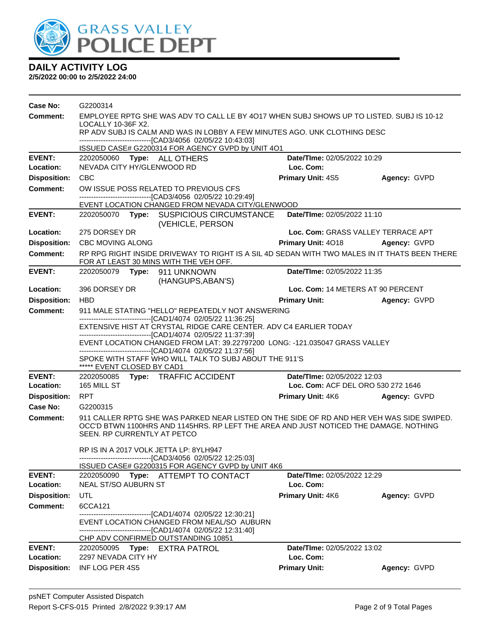

| Case No:            | G2200314                                                                                                                                    |  |                                                                                                                                                                                    |                                    |                                    |
|---------------------|---------------------------------------------------------------------------------------------------------------------------------------------|--|------------------------------------------------------------------------------------------------------------------------------------------------------------------------------------|------------------------------------|------------------------------------|
| Comment:            | EMPLOYEE RPTG SHE WAS ADV TO CALL LE BY 4017 WHEN SUBJ SHOWS UP TO LISTED. SUBJ IS 10-12                                                    |  |                                                                                                                                                                                    |                                    |                                    |
|                     | LOCALLY 10-36F X2.<br>RP ADV SUBJ IS CALM AND WAS IN LOBBY A FEW MINUTES AGO. UNK CLOTHING DESC                                             |  |                                                                                                                                                                                    |                                    |                                    |
|                     |                                                                                                                                             |  | -------------------------------[CAD3/4056 02/05/22 10:43:03]                                                                                                                       |                                    |                                    |
|                     |                                                                                                                                             |  | ISSUED CASE# G2200314 FOR AGENCY GVPD by UNIT 4O1                                                                                                                                  |                                    |                                    |
| <b>EVENT:</b>       |                                                                                                                                             |  | 2202050060 Type: ALL OTHERS                                                                                                                                                        | Date/TIme: 02/05/2022 10:29        |                                    |
| Location:           | NEVADA CITY HY/GLENWOOD RD                                                                                                                  |  |                                                                                                                                                                                    | Loc. Com:                          |                                    |
| <b>Disposition:</b> | <b>CBC</b>                                                                                                                                  |  |                                                                                                                                                                                    | <b>Primary Unit: 4S5</b>           | Agency: GVPD                       |
| <b>Comment:</b>     |                                                                                                                                             |  | OW ISSUE POSS RELATED TO PREVIOUS CFS                                                                                                                                              |                                    |                                    |
|                     |                                                                                                                                             |  | -------------------------------[CAD3/4056 02/05/22 10:29:49]<br>EVENT LOCATION CHANGED FROM NEVADA CITY/GLENWOOD                                                                   |                                    |                                    |
| <b>EVENT:</b>       |                                                                                                                                             |  | 2202050070 Type: SUSPICIOUS CIRCUMSTANCE<br>(VEHICLE, PERSON                                                                                                                       | Date/Time: 02/05/2022 11:10        |                                    |
| Location:           | 275 DORSEY DR                                                                                                                               |  |                                                                                                                                                                                    |                                    | Loc. Com: GRASS VALLEY TERRACE APT |
| <b>Disposition:</b> | <b>CBC MOVING ALONG</b>                                                                                                                     |  |                                                                                                                                                                                    | Primary Unit: 4018 Agency: GVPD    |                                    |
| Comment:            |                                                                                                                                             |  | RP RPG RIGHT INSIDE DRIVEWAY TO RIGHT IS A SIL 4D SEDAN WITH TWO MALES IN IT THATS BEEN THERE<br>FOR AT LEAST 30 MINS WITH THE VEH OFF.                                            |                                    |                                    |
| <b>EVENT:</b>       |                                                                                                                                             |  | 2202050079 Type: 911 UNKNOWN<br>(HANGUPS, ABAN'S)                                                                                                                                  | Date/TIme: 02/05/2022 11:35        |                                    |
| Location:           | 396 DORSEY DR                                                                                                                               |  |                                                                                                                                                                                    | Loc. Com: 14 METERS AT 90 PERCENT  |                                    |
| <b>Disposition:</b> | <b>HBD</b>                                                                                                                                  |  |                                                                                                                                                                                    | <b>Primary Unit:</b>               | Agency: GVPD                       |
| <b>Comment:</b>     |                                                                                                                                             |  | 911 MALE STATING "HELLO" REPEATEDLY NOT ANSWERING<br>-------------------------------[CAD1/4074 02/05/22 11:36:25]                                                                  |                                    |                                    |
|                     |                                                                                                                                             |  | EXTENSIVE HIST AT CRYSTAL RIDGE CARE CENTER. ADV C4 EARLIER TODAY                                                                                                                  |                                    |                                    |
|                     | -------------------------------[CAD1/4074 02/05/22 11:37:39]<br>EVENT LOCATION CHANGED FROM LAT: 39.22797200 LONG: -121.035047 GRASS VALLEY |  |                                                                                                                                                                                    |                                    |                                    |
|                     | -------------------------------[CAD1/4074_02/05/22 11:37:56]                                                                                |  |                                                                                                                                                                                    |                                    |                                    |
|                     | ***** EVENT CLOSED BY CAD1                                                                                                                  |  | SPOKE WITH STAFF WHO WILL TALK TO SUBJ ABOUT THE 911'S                                                                                                                             |                                    |                                    |
| <b>EVENT:</b>       |                                                                                                                                             |  | 2202050085 Type: TRAFFIC ACCIDENT                                                                                                                                                  | Date/TIme: 02/05/2022 12:03        |                                    |
| Location:           | 165 MILL ST                                                                                                                                 |  |                                                                                                                                                                                    | Loc. Com: ACF DEL ORO 530 272 1646 |                                    |
| <b>Disposition:</b> | <b>RPT</b>                                                                                                                                  |  |                                                                                                                                                                                    | <b>Primary Unit: 4K6</b>           | Agency: GVPD                       |
| Case No:            | G2200315                                                                                                                                    |  |                                                                                                                                                                                    |                                    |                                    |
| Comment:            | SEEN. RP CURRENTLY AT PETCO                                                                                                                 |  | 911 CALLER RPTG SHE WAS PARKED NEAR LISTED ON THE SIDE OF RD AND HER VEH WAS SIDE SWIPED.<br>OCC'D BTWN 1100HRS AND 1145HRS. RP LEFT THE AREA AND JUST NOTICED THE DAMAGE. NOTHING |                                    |                                    |
|                     |                                                                                                                                             |  | RP IS IN A 2017 VOLK JETTA LP: 8YLH947<br>-------------------------[CAD3/4056 02/05/22 12:25:03]<br>ISSUED CASE# G2200315 FOR AGENCY GVPD by UNIT 4K6                              |                                    |                                    |
| <b>EVENT:</b>       | 2202050090                                                                                                                                  |  | Type: ATTEMPT TO CONTACT                                                                                                                                                           | Date/TIme: 02/05/2022 12:29        |                                    |
| Location:           | NEAL ST/SO AUBURN ST                                                                                                                        |  |                                                                                                                                                                                    | Loc. Com:                          |                                    |
| <b>Disposition:</b> | UTL                                                                                                                                         |  |                                                                                                                                                                                    | <b>Primary Unit: 4K6</b>           | Agency: GVPD                       |
| Comment:            | 6CCA121                                                                                                                                     |  |                                                                                                                                                                                    |                                    |                                    |
|                     |                                                                                                                                             |  | EVENT LOCATION CHANGED FROM NEAL/SO AUBURN<br>------------------------------[CAD1/4074_02/05/22 12:31:40]                                                                          |                                    |                                    |
|                     |                                                                                                                                             |  | CHP ADV CONFIRMED OUTSTANDING 10851                                                                                                                                                |                                    |                                    |
| <b>EVENT:</b>       |                                                                                                                                             |  | 2202050095 Type: EXTRA PATROL                                                                                                                                                      | Date/TIme: 02/05/2022 13:02        |                                    |
| Location:           | 2297 NEVADA CITY HY                                                                                                                         |  |                                                                                                                                                                                    | Loc. Com:                          |                                    |
| <b>Disposition:</b> | INF LOG PER 4S5                                                                                                                             |  |                                                                                                                                                                                    | <b>Primary Unit:</b>               | Agency: GVPD                       |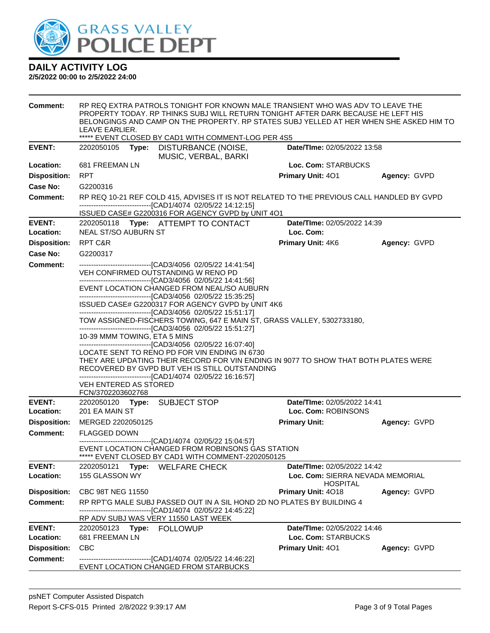

| <b>Comment:</b>            | LEAVE EARLIER.                                                                                                                                                                                                                                         |                                                                                                                                                           | RP REQ EXTRA PATROLS TONIGHT FOR KNOWN MALE TRANSIENT WHO WAS ADV TO LEAVE THE<br>PROPERTY TODAY. RP THINKS SUBJ WILL RETURN TONIGHT AFTER DARK BECAUSE HE LEFT HIS<br>BELONGINGS AND CAMP ON THE PROPERTY. RP STATES SUBJ YELLED AT HER WHEN SHE ASKED HIM TO<br>***** EVENT CLOSED BY CAD1 WITH COMMENT-LOG PER 4S5 |                                                    |                                  |  |  |  |
|----------------------------|--------------------------------------------------------------------------------------------------------------------------------------------------------------------------------------------------------------------------------------------------------|-----------------------------------------------------------------------------------------------------------------------------------------------------------|-----------------------------------------------------------------------------------------------------------------------------------------------------------------------------------------------------------------------------------------------------------------------------------------------------------------------|----------------------------------------------------|----------------------------------|--|--|--|
| <b>EVENT:</b>              | 2202050105                                                                                                                                                                                                                                             | Type:                                                                                                                                                     | <b>DISTURBANCE (NOISE,</b>                                                                                                                                                                                                                                                                                            | <b>Date/Time: 02/05/2022 13:58</b>                 |                                  |  |  |  |
| Location:                  | 681 FREEMAN LN                                                                                                                                                                                                                                         |                                                                                                                                                           | MUSIC, VERBAL, BARKI                                                                                                                                                                                                                                                                                                  | Loc. Com: STARBUCKS                                |                                  |  |  |  |
| <b>Disposition:</b>        | <b>RPT</b>                                                                                                                                                                                                                                             |                                                                                                                                                           |                                                                                                                                                                                                                                                                                                                       | <b>Primary Unit: 401</b>                           | Agency: GVPD                     |  |  |  |
| Case No:                   | G2200316                                                                                                                                                                                                                                               |                                                                                                                                                           |                                                                                                                                                                                                                                                                                                                       |                                                    |                                  |  |  |  |
| Comment:                   |                                                                                                                                                                                                                                                        | RP REQ 10-21 REF COLD 415, ADVISES IT IS NOT RELATED TO THE PREVIOUS CALL HANDLED BY GVPD<br>-------------------------------[CAD1/4074 02/05/22 14:12:15] |                                                                                                                                                                                                                                                                                                                       |                                                    |                                  |  |  |  |
| <b>EVENT:</b>              |                                                                                                                                                                                                                                                        |                                                                                                                                                           | ISSUED CASE# G2200316 FOR AGENCY GVPD by UNIT 4O1<br>2202050118 Type: ATTEMPT TO CONTACT                                                                                                                                                                                                                              | Date/TIme: 02/05/2022 14:39                        |                                  |  |  |  |
| Location:                  | <b>NEAL ST/SO AUBURN ST</b>                                                                                                                                                                                                                            |                                                                                                                                                           |                                                                                                                                                                                                                                                                                                                       | Loc. Com:                                          |                                  |  |  |  |
| <b>Disposition:</b>        | RPT C&R                                                                                                                                                                                                                                                |                                                                                                                                                           |                                                                                                                                                                                                                                                                                                                       | <b>Primary Unit: 4K6</b>                           | Agency: GVPD                     |  |  |  |
| Case No:                   | G2200317                                                                                                                                                                                                                                               |                                                                                                                                                           |                                                                                                                                                                                                                                                                                                                       |                                                    |                                  |  |  |  |
| <b>Comment:</b>            |                                                                                                                                                                                                                                                        |                                                                                                                                                           | --------------------------------[CAD3/4056 02/05/22 14:41:54]<br>VEH CONFIRMED OUTSTANDING W RENO PD<br>--------------------------------[CAD3/4056 02/05/22 14:41:56]                                                                                                                                                 |                                                    |                                  |  |  |  |
|                            |                                                                                                                                                                                                                                                        | EVENT LOCATION CHANGED FROM NEAL/SO AUBURN                                                                                                                |                                                                                                                                                                                                                                                                                                                       |                                                    |                                  |  |  |  |
|                            | --------------------------------[CAD3/4056 02/05/22 15:35:25]<br>ISSUED CASE# G2200317 FOR AGENCY GVPD by UNIT 4K6<br>---------------------------------[CAD3/4056 02/05/22 15:51:17]                                                                   |                                                                                                                                                           |                                                                                                                                                                                                                                                                                                                       |                                                    |                                  |  |  |  |
|                            | TOW ASSIGNED-FISCHERS TOWING, 647 E MAIN ST, GRASS VALLEY, 5302733180,                                                                                                                                                                                 |                                                                                                                                                           |                                                                                                                                                                                                                                                                                                                       |                                                    |                                  |  |  |  |
|                            | -------------------------------[CAD3/4056 02/05/22 15:51:27]<br>10-39 MMM TOWING, ETA 5 MINS<br>--------------------------------[CAD3/4056 02/05/22 16:07:40]                                                                                          |                                                                                                                                                           |                                                                                                                                                                                                                                                                                                                       |                                                    |                                  |  |  |  |
|                            | LOCATE SENT TO RENO PD FOR VIN ENDING IN 6730<br>THEY ARE UPDATING THEIR RECORD FOR VIN ENDING IN 9077 TO SHOW THAT BOTH PLATES WERE<br>RECOVERED BY GVPD BUT VEH IS STILL OUTSTANDING<br>-------------------------------[CAD1/4074 02/05/22 16:16:57] |                                                                                                                                                           |                                                                                                                                                                                                                                                                                                                       |                                                    |                                  |  |  |  |
|                            | VEH ENTERED AS STORED<br>FCN/3702203602768                                                                                                                                                                                                             |                                                                                                                                                           |                                                                                                                                                                                                                                                                                                                       |                                                    |                                  |  |  |  |
| <b>EVENT:</b><br>Location: | 201 EA MAIN ST                                                                                                                                                                                                                                         |                                                                                                                                                           | 2202050120 Type: SUBJECT STOP                                                                                                                                                                                                                                                                                         | Date/TIme: 02/05/2022 14:41<br>Loc. Com: ROBINSONS |                                  |  |  |  |
| <b>Disposition:</b>        | MERGED 2202050125                                                                                                                                                                                                                                      |                                                                                                                                                           |                                                                                                                                                                                                                                                                                                                       | <b>Primary Unit:</b>                               | Agency: GVPD                     |  |  |  |
| <b>Comment:</b>            | <b>FLAGGED DOWN</b>                                                                                                                                                                                                                                    |                                                                                                                                                           |                                                                                                                                                                                                                                                                                                                       |                                                    |                                  |  |  |  |
|                            |                                                                                                                                                                                                                                                        |                                                                                                                                                           | -------------------------[CAD1/4074 02/05/22 15:04:57]<br>EVENT LOCATION CHANGED FROM ROBINSONS GAS STATION<br>***** EVENT CLOSED BY CAD1 WITH COMMENT-2202050125                                                                                                                                                     |                                                    |                                  |  |  |  |
| <b>EVENT:</b>              | 2202050121 Type:                                                                                                                                                                                                                                       |                                                                                                                                                           | <b>WELFARE CHECK</b>                                                                                                                                                                                                                                                                                                  | Date/TIme: 02/05/2022 14:42                        |                                  |  |  |  |
| Location:                  | 155 GLASSON WY                                                                                                                                                                                                                                         |                                                                                                                                                           |                                                                                                                                                                                                                                                                                                                       | <b>HOSPITAL</b>                                    | Loc. Com: SIERRA NEVADA MEMORIAL |  |  |  |
| <b>Disposition:</b>        | CBC 98T NEG 11550                                                                                                                                                                                                                                      |                                                                                                                                                           |                                                                                                                                                                                                                                                                                                                       | Primary Unit: 4018                                 | Agency: GVPD                     |  |  |  |
| <b>Comment:</b>            |                                                                                                                                                                                                                                                        |                                                                                                                                                           | RP RPT'G MALE SUBJ PASSED OUT IN A SIL HOND 2D NO PLATES BY BUILDING 4<br>------------------------[CAD1/4074_02/05/22 14:45:22]<br>RP ADV SUBJ WAS VERY 11550 LAST WEEK                                                                                                                                               |                                                    |                                  |  |  |  |
| <b>EVENT:</b>              | 2202050123 Type: FOLLOWUP                                                                                                                                                                                                                              |                                                                                                                                                           |                                                                                                                                                                                                                                                                                                                       | Date/TIme: 02/05/2022 14:46                        |                                  |  |  |  |
| Location:                  | 681 FREEMAN LN                                                                                                                                                                                                                                         |                                                                                                                                                           |                                                                                                                                                                                                                                                                                                                       | Loc. Com: STARBUCKS                                |                                  |  |  |  |
| <b>Disposition:</b>        | <b>CBC</b>                                                                                                                                                                                                                                             |                                                                                                                                                           |                                                                                                                                                                                                                                                                                                                       | <b>Primary Unit: 401</b>                           | Agency: GVPD                     |  |  |  |
| <b>Comment:</b>            |                                                                                                                                                                                                                                                        |                                                                                                                                                           | ------------------------------[CAD1/4074_02/05/22 14:46:22]<br>EVENT LOCATION CHANGED FROM STARBUCKS                                                                                                                                                                                                                  |                                                    |                                  |  |  |  |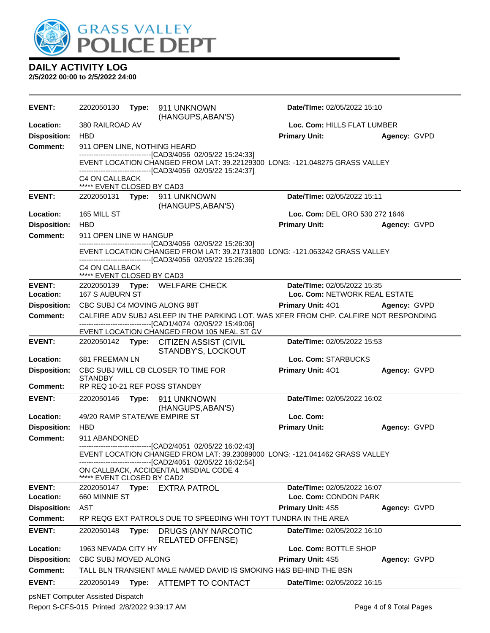

**2/5/2022 00:00 to 2/5/2022 24:00**

| <b>EVENT:</b>       | 2202050130                    |       | Type: 911 UNKNOWN<br>(HANGUPS, ABAN'S)                                                                                                     | Date/TIme: 02/05/2022 15:10    |              |
|---------------------|-------------------------------|-------|--------------------------------------------------------------------------------------------------------------------------------------------|--------------------------------|--------------|
| Location:           | 380 RAILROAD AV               |       | Loc. Com: HILLS FLAT LUMBER                                                                                                                |                                |              |
| <b>Disposition:</b> | <b>HBD</b>                    |       |                                                                                                                                            | <b>Primary Unit:</b>           | Agency: GVPD |
| <b>Comment:</b>     | 911 OPEN LINE, NOTHING HEARD  |       |                                                                                                                                            |                                |              |
|                     |                               |       | --------------------------------[CAD3/4056 02/05/22 15:24:33]                                                                              |                                |              |
|                     |                               |       | EVENT LOCATION CHANGED FROM LAT: 39.22129300 LONG: -121.048275 GRASS VALLEY<br>------------------------------[CAD3/4056 02/05/22 15:24:37] |                                |              |
|                     | C4 ON CALLBACK                |       |                                                                                                                                            |                                |              |
|                     | ***** EVENT CLOSED BY CAD3    |       |                                                                                                                                            |                                |              |
| <b>EVENT:</b>       |                               |       | 2202050131 Type: 911 UNKNOWN                                                                                                               | Date/TIme: 02/05/2022 15:11    |              |
| Location:           | 165 MILL ST                   |       | (HANGUPS, ABAN'S)                                                                                                                          | Loc. Com: DEL ORO 530 272 1646 |              |
| <b>Disposition:</b> | <b>HBD</b>                    |       |                                                                                                                                            | <b>Primary Unit:</b>           | Agency: GVPD |
| Comment:            | 911 OPEN LINE W HANGUP        |       |                                                                                                                                            |                                |              |
|                     |                               |       | -------------------------------[CAD3/4056 02/05/22 15:26:30]                                                                               |                                |              |
|                     |                               |       | EVENT LOCATION CHANGED FROM LAT: 39.21731800 LONG: -121.063242 GRASS VALLEY                                                                |                                |              |
|                     | <b>C4 ON CALLBACK</b>         |       | -------------------------------[CAD3/4056 02/05/22 15:26:36]                                                                               |                                |              |
|                     | ***** EVENT CLOSED BY CAD3    |       |                                                                                                                                            |                                |              |
| <b>EVENT:</b>       |                               |       | 2202050139 Type: WELFARE CHECK                                                                                                             | Date/TIme: 02/05/2022 15:35    |              |
| Location:           | <b>167 S AUBURN ST</b>        |       |                                                                                                                                            | Loc. Com: NETWORK REAL ESTATE  |              |
| <b>Disposition:</b> | CBC SUBJ C4 MOVING ALONG 98T  |       |                                                                                                                                            | <b>Primary Unit: 401</b>       | Agency: GVPD |
| <b>Comment:</b>     |                               |       | CALFIRE ADV SUBJ ASLEEP IN THE PARKING LOT. WAS XFER FROM CHP. CALFIRE NOT RESPONDING                                                      |                                |              |
|                     |                               |       | ------------------------------[CAD1/4074_02/05/22 15:49:06]<br>EVENT LOCATION CHANGED FROM 105 NEAL ST GV                                  |                                |              |
| <b>EVENT:</b>       |                               |       | 2202050142 Type: CITIZEN ASSIST (CIVIL                                                                                                     | Date/TIme: 02/05/2022 15:53    |              |
|                     |                               |       | STANDBY'S, LOCKOUT                                                                                                                         |                                |              |
| Location:           | 681 FREEMAN LN                |       |                                                                                                                                            | Loc. Com: STARBUCKS            |              |
| <b>Disposition:</b> | <b>STANDBY</b>                |       | CBC SUBJ WILL CB CLOSER TO TIME FOR                                                                                                        | Primary Unit: 401              | Agency: GVPD |
| <b>Comment:</b>     | RP REQ 10-21 REF POSS STANDBY |       |                                                                                                                                            |                                |              |
| <b>EVENT:</b>       | 2202050146                    |       | Type: 911 UNKNOWN                                                                                                                          | Date/TIme: 02/05/2022 16:02    |              |
|                     |                               |       | (HANGUPS, ABAN'S)                                                                                                                          |                                |              |
| Location:           | 49/20 RAMP STATE/WE EMPIRE ST |       |                                                                                                                                            | Loc. Com:                      |              |
| <b>Disposition:</b> | <b>HBD</b>                    |       |                                                                                                                                            | <b>Primary Unit:</b>           | Agency: GVPD |
| <b>Comment:</b>     | 911 ABANDONED                 |       | --------------------------[CAD2/4051_02/05/22 16:02:43]                                                                                    |                                |              |
|                     |                               |       | EVENT LOCATION CHANGED FROM LAT: 39.23089000 LONG: -121.041462 GRASS VALLEY                                                                |                                |              |
|                     |                               |       | -------------------------------[CAD2/4051 02/05/22 16:02:54]                                                                               |                                |              |
|                     | ***** EVENT CLOSED BY CAD2    |       | ON CALLBACK, ACCIDENTAL MISDIAL CODE 4                                                                                                     |                                |              |
| <b>EVENT:</b>       | 2202050147 <b>Type:</b>       |       | <b>EXTRA PATROL</b>                                                                                                                        | Date/TIme: 02/05/2022 16:07    |              |
| Location:           | 660 MINNIE ST                 |       |                                                                                                                                            | Loc. Com: CONDON PARK          |              |
| <b>Disposition:</b> | AST                           |       |                                                                                                                                            | Primary Unit: 4S5              | Agency: GVPD |
| <b>Comment:</b>     |                               |       | RP REQG EXT PATROLS DUE TO SPEEDING WHI TOYT TUNDRA IN THE AREA                                                                            |                                |              |
| <b>EVENT:</b>       | 2202050148                    | Type: | <b>DRUGS (ANY NARCOTIC</b>                                                                                                                 | Date/TIme: 02/05/2022 16:10    |              |
| Location:           | 1963 NEVADA CITY HY           |       | <b>RELATED OFFENSE)</b>                                                                                                                    | Loc. Com: BOTTLE SHOP          |              |
| <b>Disposition:</b> | CBC SUBJ MOVED ALONG          |       |                                                                                                                                            | Primary Unit: 4S5              | Agency: GVPD |
| <b>Comment:</b>     |                               |       | TALL BLN TRANSIENT MALE NAMED DAVID IS SMOKING H&S BEHIND THE BSN                                                                          |                                |              |
| <b>EVENT:</b>       |                               |       |                                                                                                                                            | Date/TIme: 02/05/2022 16:15    |              |
|                     | 2202050149                    | Type: | ATTEMPT TO CONTACT                                                                                                                         |                                |              |

psNET Computer Assisted Dispatch

Report S-CFS-015 Printed 2/8/2022 9:39:17 AM Page 4 of 9 Total Pages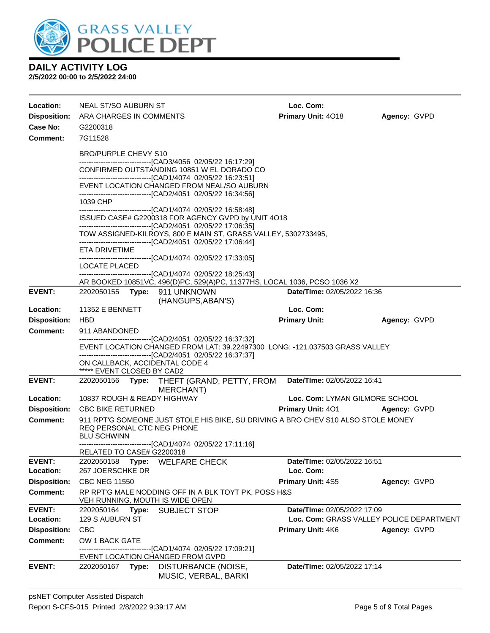

#### **DAILY ACTIVITY LOG 2/5/2022 00:00 to 2/5/2022 24:00**

**Location:** NEAL ST/SO AUBURN ST **Loc. Com: Disposition:** ARA CHARGES IN COMMENTS **Primary Unit:** 4O18 **Agency:** GVPD **Case No:** G2200318 **Comment:** 7G11528 BRO/PURPLE CHEVY S10 ------------------------------[CAD3/4056 02/05/22 16:17:29] CONFIRMED OUTSTANDING 10851 W EL DORADO CO ------------------------------[CAD1/4074 02/05/22 16:23:51] EVENT LOCATION CHANGED FROM NEAL/SO AUBURN ------------------------------[CAD2/4051 02/05/22 16:34:56] 1039 CHP ------------------------------[CAD1/4074 02/05/22 16:58:48] ISSUED CASE# G2200318 FOR AGENCY GVPD by UNIT 4O18 ------------------------------[CAD2/4051 02/05/22 17:06:35] TOW ASSIGNED-KILROYS, 800 E MAIN ST, GRASS VALLEY, 5302733495, ------------------------------[CAD2/4051 02/05/22 17:06:44] ETA DRIVETIME ------------------------------[CAD1/4074 02/05/22 17:33:05] LOCATE PLACED ------------------------------[CAD1/4074 02/05/22 18:25:43] AR BOOKED 10851VC, 496(D)PC, 529(A)PC, 11377HS, LOCAL 1036, PCSO 1036 X2 **EVENT:** 2202050155 **Type:** 911 UNKNOWN (HANGUPS,ABAN'S) **Date/TIme:** 02/05/2022 16:36 **Location:** 11352 E BENNETT **Loc. Com: Disposition:** HBD **Primary Unit: Agency:** GVPD **Comment:** 911 ABANDONED ------------------------------[CAD2/4051 02/05/22 16:37:32] EVENT LOCATION CHANGED FROM LAT: 39.22497300 LONG: -121.037503 GRASS VALLEY ------------------------------[CAD2/4051 02/05/22 16:37:37] ON CALLBACK, ACCIDENTAL CODE 4 \*\*\*\*\* EVENT CLOSED BY CAD2 **EVENT:** 2202050156 **Type:** THEFT (GRAND, PETTY, FROM MERCHANT) **Date/TIme:** 02/05/2022 16:41 **Location:** 10837 ROUGH & READY HIGHWAY **Loc. Com:** LYMAN GILMORE SCHOOL **Disposition:** CBC BIKE RETURNED **Primary Unit:** 4O1 **Agency:** GVPD **Comment:** 911 RPT'G SOMEONE JUST STOLE HIS BIKE, SU DRIVING A BRO CHEV S10 ALSO STOLE MONEY REQ PERSONAL CTC NEG PHONE BLU SCHWINN ------------------------------[CAD1/4074 02/05/22 17:11:16] RELATED TO CASE# G2200318 **EVENT:** 2202050158 **Type:** WELFARE CHECK **Date/TIme:** 02/05/2022 16:51 **Location:** 267 JOERSCHKE DR **Loc. Com: Disposition:** CBC NEG 11550 **Primary Unit:** 4S5 **Agency:** GVPD **Comment:** RP RPT'G MALE NODDING OFF IN A BLK TOYT PK, POSS H&S VEH RUNNING, MOUTH IS WIDE OPEN **EVENT:** 2202050164 **Type:** SUBJECT STOP **Date/TIme:** 02/05/2022 17:09 **Location:** 129 S AUBURN ST **Loc. Com:** GRASS VALLEY POLICE DEPARTMENT **Disposition:** CBC **Primary Unit:** 4K6 **Agency:** GVPD **Comment:** OW 1 BACK GATE ------------------------------[CAD1/4074 02/05/22 17:09:21] EVENT LOCATION CHANGED FROM GVPD **EVENT:** 2202050167 **Type:** DISTURBANCE (NOISE, MUSIC, VERBAL, BARKI **Date/TIme:** 02/05/2022 17:14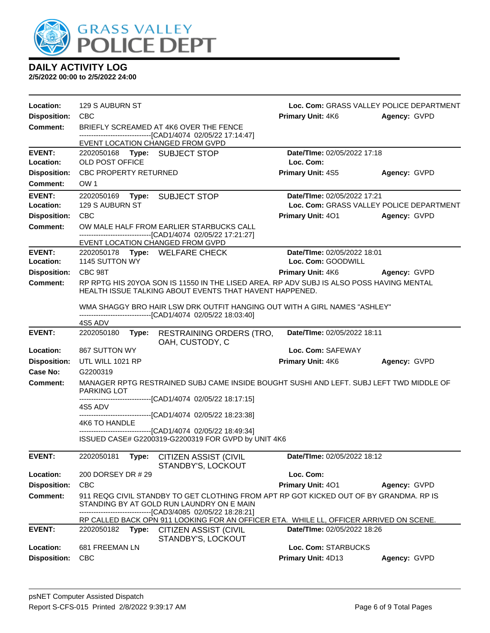

| Location:                  | 129 S AUBURN ST                                  |                                                                                                                                                                                            | Loc. Com: GRASS VALLEY POLICE DEPARTMENT          |              |
|----------------------------|--------------------------------------------------|--------------------------------------------------------------------------------------------------------------------------------------------------------------------------------------------|---------------------------------------------------|--------------|
| <b>Disposition:</b>        | <b>CBC</b>                                       |                                                                                                                                                                                            | Primary Unit: 4K6                                 | Agency: GVPD |
| <b>Comment:</b>            |                                                  | BRIEFLY SCREAMED AT 4K6 OVER THE FENCE                                                                                                                                                     |                                                   |              |
|                            | EVENT LOCATION CHANGED FROM GVPD                 | ------------------------------[CAD1/4074 02/05/22 17:14:47]                                                                                                                                |                                                   |              |
| <b>EVENT:</b>              | 2202050168 Type: SUBJECT STOP                    |                                                                                                                                                                                            | Date/TIme: 02/05/2022 17:18                       |              |
| Location:                  | OLD POST OFFICE                                  |                                                                                                                                                                                            | Loc. Com:                                         |              |
| <b>Disposition:</b>        | <b>CBC PROPERTY RETURNED</b>                     |                                                                                                                                                                                            | <b>Primary Unit: 4S5</b>                          | Agency: GVPD |
| Comment:                   | OW <sub>1</sub>                                  |                                                                                                                                                                                            |                                                   |              |
| <b>EVENT:</b>              | 2202050169 Type: SUBJECT STOP                    |                                                                                                                                                                                            | Date/TIme: 02/05/2022 17:21                       |              |
| Location:                  | 129 S AUBURN ST                                  |                                                                                                                                                                                            | Loc. Com: GRASS VALLEY POLICE DEPARTMENT          |              |
| <b>Disposition:</b>        | CBC                                              |                                                                                                                                                                                            | <b>Primary Unit: 401</b>                          | Agency: GVPD |
| <b>Comment:</b>            |                                                  | OW MALE HALF FROM EARLIER STARBUCKS CALL<br>------------------------[CAD1/4074_02/05/22 17:21:27]                                                                                          |                                                   |              |
|                            | EVENT LOCATION CHANGED FROM GVPD                 |                                                                                                                                                                                            |                                                   |              |
| <b>EVENT:</b><br>Location: | 2202050178 Type: WELFARE CHECK<br>1145 SUTTON WY |                                                                                                                                                                                            | Date/TIme: 02/05/2022 18:01<br>Loc. Com: GOODWILL |              |
| <b>Disposition:</b>        | CBC 98T                                          |                                                                                                                                                                                            | <b>Primary Unit: 4K6</b>                          | Agency: GVPD |
| Comment:                   |                                                  | RP RPTG HIS 20YOA SON IS 11550 IN THE LISED AREA. RP ADV SUBJ IS ALSO POSS HAVING MENTAL<br>HEALTH ISSUE TALKING ABOUT EVENTS THAT HAVENT HAPPENED.                                        |                                                   |              |
|                            |                                                  | WMA SHAGGY BRO HAIR LSW DRK OUTFIT HANGING OUT WITH A GIRL NAMES "ASHLEY"<br>------------------------------[CAD1/4074 02/05/22 18:03:40]                                                   |                                                   |              |
|                            | 4S5 ADV                                          |                                                                                                                                                                                            |                                                   |              |
| <b>EVENT:</b>              | 2202050180                                       | Type: RESTRAINING ORDERS (TRO,<br>OAH, CUSTODY, C                                                                                                                                          | Date/TIme: 02/05/2022 18:11                       |              |
| Location:                  | 867 SUTTON WY                                    |                                                                                                                                                                                            | Loc. Com: SAFEWAY                                 |              |
| <b>Disposition:</b>        | UTL WILL 1021 RP                                 |                                                                                                                                                                                            | Primary Unit: 4K6                                 | Agency: GVPD |
| Case No:                   | G2200319                                         |                                                                                                                                                                                            |                                                   |              |
| Comment:                   | <b>PARKING LOT</b>                               | MANAGER RPTG RESTRAINED SUBJ CAME INSIDE BOUGHT SUSHI AND LEFT. SUBJ LEFT TWD MIDDLE OF                                                                                                    |                                                   |              |
|                            | 4S5 ADV                                          | --------------------------------[CAD1/4074 02/05/22 18:17:15]                                                                                                                              |                                                   |              |
|                            | 4K6 TO HANDLE                                    | -------------------------------[CAD1/4074 02/05/22 18:23:38]                                                                                                                               |                                                   |              |
|                            |                                                  | -------------------------------[CAD1/4074 02/05/22 18:49:34]                                                                                                                               |                                                   |              |
|                            |                                                  | ISSUED CASE# G2200319-G2200319 FOR GVPD by UNIT 4K6                                                                                                                                        |                                                   |              |
| <b>EVENT:</b>              |                                                  | 2202050181 Type: CITIZEN ASSIST (CIVIL<br>STANDBY'S, LOCKOUT                                                                                                                               | Date/TIme: 02/05/2022 18:12                       |              |
| Location:                  | 200 DORSEY DR # 29                               |                                                                                                                                                                                            | Loc. Com:                                         |              |
| <b>Disposition:</b>        | <b>CBC</b>                                       |                                                                                                                                                                                            | Primary Unit: 401                                 | Agency: GVPD |
| <b>Comment:</b>            |                                                  | 911 REQG CIVIL STANDBY TO GET CLOTHING FROM APT RP GOT KICKED OUT OF BY GRANDMA. RP IS<br>STANDING BY AT GOLD RUN LAUNDRY ON E MAIN<br>----------------------[CAD3/4085_02/05/22_18:28:21] |                                                   |              |
|                            |                                                  | RP CALLED BACK OPN 911 LOOKING FOR AN OFFICER ETA. WHILE LL, OFFICER ARRIVED ON SCENE.                                                                                                     |                                                   |              |
| <b>EVENT:</b>              | Type:<br>2202050182                              | <b>CITIZEN ASSIST (CIVIL</b><br>STANDBY'S, LOCKOUT                                                                                                                                         | Date/TIme: 02/05/2022 18:26                       |              |
| Location:                  | 681 FREEMAN LN                                   |                                                                                                                                                                                            | Loc. Com: STARBUCKS                               |              |
| <b>Disposition:</b>        | <b>CBC</b>                                       |                                                                                                                                                                                            | Primary Unit: 4D13                                | Agency: GVPD |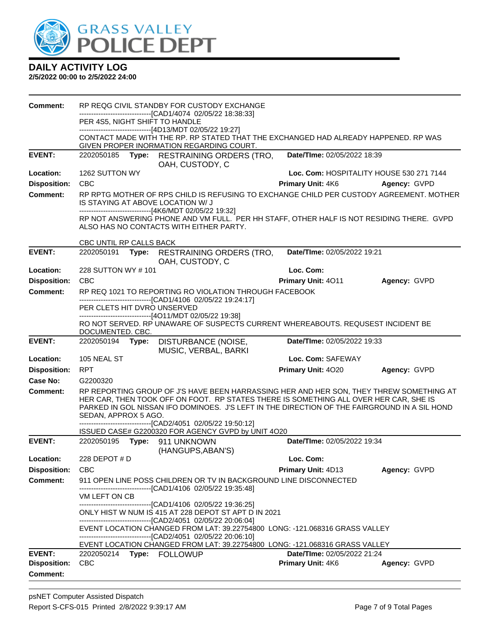

| Comment:            |                             |       | RP REQG CIVIL STANDBY FOR CUSTODY EXCHANGE                                                                                                                                                                                                                                                                                                                                                              |                                          |              |
|---------------------|-----------------------------|-------|---------------------------------------------------------------------------------------------------------------------------------------------------------------------------------------------------------------------------------------------------------------------------------------------------------------------------------------------------------------------------------------------------------|------------------------------------------|--------------|
|                     |                             |       | -------------------------------[CAD1/4074_02/05/22 18:38:33]<br>PER 4S5, NIGHT SHIFT TO HANDLE                                                                                                                                                                                                                                                                                                          |                                          |              |
|                     |                             |       | ------------------------------[4D13/MDT 02/05/22 19:27]                                                                                                                                                                                                                                                                                                                                                 |                                          |              |
|                     |                             |       | CONTACT MADE WITH THE RP. RP STATED THAT THE EXCHANGED HAD ALREADY HAPPENED. RP WAS<br>GIVEN PROPER INORMATION REGARDING COURT.                                                                                                                                                                                                                                                                         |                                          |              |
| <b>EVENT:</b>       | 2202050185                  |       | Type: RESTRAINING ORDERS (TRO,<br>OAH, CUSTODY, C                                                                                                                                                                                                                                                                                                                                                       | Date/TIme: 02/05/2022 18:39              |              |
| Location:           | 1262 SUTTON WY              |       |                                                                                                                                                                                                                                                                                                                                                                                                         | Loc. Com: HOSPITALITY HOUSE 530 271 7144 |              |
| <b>Disposition:</b> | <b>CBC</b>                  |       |                                                                                                                                                                                                                                                                                                                                                                                                         | <b>Primary Unit: 4K6</b>                 | Agency: GVPD |
| <b>Comment:</b>     |                             |       | RP RPTG MOTHER OF RPS CHILD IS REFUSING TO EXCHANGE CHILD PER CUSTODY AGREEMENT. MOTHER<br>IS STAYING AT ABOVE LOCATION W/ J                                                                                                                                                                                                                                                                            |                                          |              |
|                     |                             |       | -------------------------------[4K6/MDT 02/05/22 19:32]<br>RP NOT ANSWERING PHONE AND VM FULL. PER HH STAFF, OTHER HALF IS NOT RESIDING THERE. GVPD<br>ALSO HAS NO CONTACTS WITH EITHER PARTY.                                                                                                                                                                                                          |                                          |              |
|                     | CBC UNTIL RP CALLS BACK     |       |                                                                                                                                                                                                                                                                                                                                                                                                         |                                          |              |
| <b>EVENT:</b>       | 2202050191                  |       | Type: RESTRAINING ORDERS (TRO,<br>OAH, CUSTODY, C                                                                                                                                                                                                                                                                                                                                                       | Date/TIme: 02/05/2022 19:21              |              |
| Location:           | 228 SUTTON WY #101          |       |                                                                                                                                                                                                                                                                                                                                                                                                         | Loc. Com:                                |              |
| <b>Disposition:</b> | <b>CBC</b>                  |       |                                                                                                                                                                                                                                                                                                                                                                                                         | Primary Unit: 4011                       | Agency: GVPD |
| <b>Comment:</b>     |                             |       | RP REQ 1021 TO REPORTING RO VIOLATION THROUGH FACEBOOK                                                                                                                                                                                                                                                                                                                                                  |                                          |              |
|                     | PER CLETS HIT DVRO UNSERVED |       | -------------------------------[CAD1/4106 02/05/22 19:24:17]<br>------------------------------[4O11/MDT 02/05/22 19:38]                                                                                                                                                                                                                                                                                 |                                          |              |
|                     | DOCUMENTED. CBC.            |       | RO NOT SERVED. RP UNAWARE OF SUSPECTS CURRENT WHEREABOUTS. REQUSEST INCIDENT BE                                                                                                                                                                                                                                                                                                                         |                                          |              |
| <b>EVENT:</b>       | 2202050194                  | Type: | DISTURBANCE (NOISE,<br>MUSIC, VERBAL, BARKI                                                                                                                                                                                                                                                                                                                                                             | Date/TIme: 02/05/2022 19:33              |              |
| Location:           | 105 NEAL ST                 |       |                                                                                                                                                                                                                                                                                                                                                                                                         | Loc. Com: SAFEWAY                        |              |
| <b>Disposition:</b> | <b>RPT</b>                  |       |                                                                                                                                                                                                                                                                                                                                                                                                         | Primary Unit: 4020                       | Agency: GVPD |
| <b>Case No:</b>     | G2200320                    |       |                                                                                                                                                                                                                                                                                                                                                                                                         |                                          |              |
| Comment:            | SEDAN, APPROX 5 AGO.        |       | RP REPORTING GROUP OF J'S HAVE BEEN HARRASSING HER AND HER SON, THEY THREW SOMETHING AT<br>HER CAR, THEN TOOK OFF ON FOOT. RP STATES THERE IS SOMETHING ALL OVER HER CAR, SHE IS<br>PARKED IN GOL NISSAN IFO DOMINOES. J'S LEFT IN THE DIRECTION OF THE FAIRGROUND IN A SIL HOND<br>--------------------------------[CAD2/4051 02/05/22 19:50:12]<br>ISSUED CASE# G2200320 FOR AGENCY GVPD by UNIT 4O20 |                                          |              |
| <b>EVENT:</b>       |                             |       | 2202050195    Type: 911    UNKNOWN                                                                                                                                                                                                                                                                                                                                                                      | Date/TIme: 02/05/2022 19:34              |              |
|                     |                             |       | (HANGUPS, ABAN'S)                                                                                                                                                                                                                                                                                                                                                                                       |                                          |              |
| Location:           | 228 DEPOT # D               |       |                                                                                                                                                                                                                                                                                                                                                                                                         | Loc. Com:                                |              |
| <b>Disposition:</b> | <b>CBC</b>                  |       |                                                                                                                                                                                                                                                                                                                                                                                                         | <b>Primary Unit: 4D13</b>                | Agency: GVPD |
| Comment:            |                             |       | 911 OPEN LINE POSS CHILDREN OR TV IN BACKGROUND LINE DISCONNECTED<br>-------------------------------[CAD1/4106_02/05/22 19:35:48]                                                                                                                                                                                                                                                                       |                                          |              |
|                     | VM LEFT ON CB               |       |                                                                                                                                                                                                                                                                                                                                                                                                         |                                          |              |
|                     |                             |       | --------------------------------[CAD1/4106 02/05/22 19:36:25]<br>ONLY HIST W NUM IS 415 AT 228 DEPOT ST APT D IN 2021                                                                                                                                                                                                                                                                                   |                                          |              |
|                     |                             |       | --------------------------------[CAD2/4051 02/05/22 20:06:04]                                                                                                                                                                                                                                                                                                                                           |                                          |              |
|                     |                             |       | EVENT LOCATION CHANGED FROM LAT: 39.22754800 LONG: -121.068316 GRASS VALLEY                                                                                                                                                                                                                                                                                                                             |                                          |              |
|                     |                             |       | -------------------------------[CAD2/4051 02/05/22 20:06:10]<br>EVENT LOCATION CHANGED FROM LAT: 39.22754800 LONG: -121.068316 GRASS VALLEY                                                                                                                                                                                                                                                             |                                          |              |
| <b>EVENT:</b>       | 2202050214                  |       | Type: FOLLOWUP                                                                                                                                                                                                                                                                                                                                                                                          | Date/TIme: 02/05/2022 21:24              |              |
| <b>Disposition:</b> | <b>CBC</b>                  |       |                                                                                                                                                                                                                                                                                                                                                                                                         | Primary Unit: 4K6                        | Agency: GVPD |
| <b>Comment:</b>     |                             |       |                                                                                                                                                                                                                                                                                                                                                                                                         |                                          |              |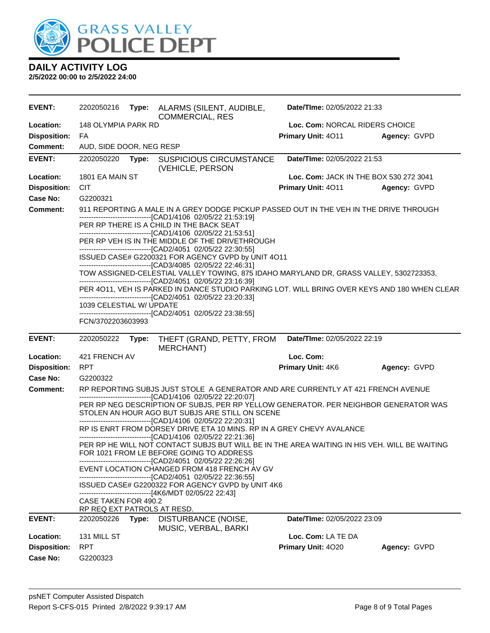

| <b>EVENT:</b>       | 2202050216                                                                                                                                             |       | Type: ALARMS (SILENT, AUDIBLE,<br><b>COMMERCIAL, RES</b>                                                                                                                                               | Date/TIme: 02/05/2022 21:33            |              |
|---------------------|--------------------------------------------------------------------------------------------------------------------------------------------------------|-------|--------------------------------------------------------------------------------------------------------------------------------------------------------------------------------------------------------|----------------------------------------|--------------|
| Location:           | 148 OLYMPIA PARK RD                                                                                                                                    |       |                                                                                                                                                                                                        | Loc. Com: NORCAL RIDERS CHOICE         |              |
| <b>Disposition:</b> | FA                                                                                                                                                     |       |                                                                                                                                                                                                        | Primary Unit: 4011                     | Agency: GVPD |
| <b>Comment:</b>     | AUD, SIDE DOOR, NEG RESP                                                                                                                               |       |                                                                                                                                                                                                        |                                        |              |
| <b>EVENT:</b>       | 2202050220                                                                                                                                             | Type: | <b>SUSPICIOUS CIRCUMSTANCE</b><br>(VEHICLE, PERSON                                                                                                                                                     | Date/TIme: 02/05/2022 21:53            |              |
| Location:           | 1801 EA MAIN ST                                                                                                                                        |       |                                                                                                                                                                                                        | Loc. Com: JACK IN THE BOX 530 272 3041 |              |
| <b>Disposition:</b> | <b>CIT</b>                                                                                                                                             |       |                                                                                                                                                                                                        | Primary Unit: 4011                     | Agency: GVPD |
| <b>Case No:</b>     | G2200321                                                                                                                                               |       |                                                                                                                                                                                                        |                                        |              |
| <b>Comment:</b>     | 911 REPORTING A MALE IN A GREY DODGE PICKUP PASSED OUT IN THE VEH IN THE DRIVE THROUGH<br>-------------------------------[CAD1/4106 02/05/22 21:53:19] |       |                                                                                                                                                                                                        |                                        |              |
|                     |                                                                                                                                                        |       | PER RP THERE IS A CHILD IN THE BACK SEAT<br>-------------------------------[CAD1/4106 02/05/22 21:53:51]                                                                                               |                                        |              |
|                     |                                                                                                                                                        |       | PER RP VEH IS IN THE MIDDLE OF THE DRIVETHROUGH<br>-------------------------------[CAD2/4051 02/05/22 22:30:55]                                                                                        |                                        |              |
|                     |                                                                                                                                                        |       | ISSUED CASE# G2200321 FOR AGENCY GVPD by UNIT 4O11<br>-------------------------------[CAD3/4085 02/05/22 22:46:31]                                                                                     |                                        |              |
|                     |                                                                                                                                                        |       | TOW ASSIGNED-CELESTIAL VALLEY TOWING, 875 IDAHO MARYLAND DR, GRASS VALLEY, 5302723353,<br>-------------------------------[CAD2/4051 02/05/22 23:16:39]                                                 |                                        |              |
|                     |                                                                                                                                                        |       | PER 4011, VEH IS PARKED IN DANCE STUDIO PARKING LOT. WILL BRING OVER KEYS AND 180 WHEN CLEAR<br>-------------------------------[CAD2/4051 02/05/22 23:20:33]                                           |                                        |              |
|                     | 1039 CELESTIAL W/ UPDATE                                                                                                                               |       | -------------------------------[CAD2/4051 02/05/22 23:38:55]                                                                                                                                           |                                        |              |
|                     | FCN/3702203603993                                                                                                                                      |       |                                                                                                                                                                                                        |                                        |              |
|                     |                                                                                                                                                        |       |                                                                                                                                                                                                        |                                        |              |
| <b>EVENT:</b>       | 2202050222                                                                                                                                             | Type: | THEFT (GRAND, PETTY, FROM                                                                                                                                                                              | Date/TIme: 02/05/2022 22:19            |              |
| Location:           | 421 FRENCH AV                                                                                                                                          |       | <b>MERCHANT)</b>                                                                                                                                                                                       | Loc. Com:                              |              |
| <b>Disposition:</b> | <b>RPT</b>                                                                                                                                             |       |                                                                                                                                                                                                        | Primary Unit: 4K6                      | Agency: GVPD |
| <b>Case No:</b>     | G2200322                                                                                                                                               |       |                                                                                                                                                                                                        |                                        |              |
| <b>Comment:</b>     |                                                                                                                                                        |       | RP REPORTING SUBJS JUST STOLE A GENERATOR AND ARE CURRENTLY AT 421 FRENCH AVENUE                                                                                                                       |                                        |              |
|                     |                                                                                                                                                        |       | ------------------------------[CAD1/4106 02/05/22 22:20:07]<br>PER RP NEG DESCRIPTION OF SUBJS, PER RP YELLOW GENERATOR. PER NEIGHBOR GENERATOR WAS<br>STOLEN AN HOUR AGO BUT SUBJS ARE STILL ON SCENE |                                        |              |
|                     |                                                                                                                                                        |       | ------------------------------[CAD1/4106 02/05/22 22:20:31]<br>RP IS ENRT FROM DORSEY DRIVE ETA 10 MINS. RP IN A GREY CHEVY AVALANCE                                                                   |                                        |              |
|                     |                                                                                                                                                        |       | -------------------------[CAD1/4106_02/05/22 22:21:36]<br>PER RP HE WILL NOT CONTACT SUBJS BUT WILL BE IN THE AREA WAITING IN HIS VEH. WILL BE WAITING<br>FOR 1021 FROM LE BEFORE GOING TO ADDRESS     |                                        |              |
|                     |                                                                                                                                                        |       | ------------------------------[CAD2/4051 02/05/22 22:26:26]<br>EVENT LOCATION CHANGED FROM 418 FRENCH AV GV                                                                                            |                                        |              |
|                     |                                                                                                                                                        |       | -------------------------------[CAD2/4051_02/05/22 22:36:55]<br>ISSUED CASE# G2200322 FOR AGENCY GVPD by UNIT 4K6                                                                                      |                                        |              |
|                     | <b>CASE TAKEN FOR 490.2</b>                                                                                                                            |       | ------------------------------[4K6/MDT 02/05/22 22:43]                                                                                                                                                 |                                        |              |
|                     | RP REQ EXT PATROLS AT RESD.                                                                                                                            |       |                                                                                                                                                                                                        |                                        |              |
| <b>EVENT:</b>       | 2202050226                                                                                                                                             | Type: | DISTURBANCE (NOISE,<br>MUSIC, VERBAL, BARKI                                                                                                                                                            | Date/TIme: 02/05/2022 23:09            |              |
| Location:           | 131 MILL ST                                                                                                                                            |       |                                                                                                                                                                                                        | Loc. Com: LA TE DA                     |              |
| <b>Disposition:</b> | <b>RPT</b>                                                                                                                                             |       |                                                                                                                                                                                                        | Primary Unit: 4020                     | Agency: GVPD |